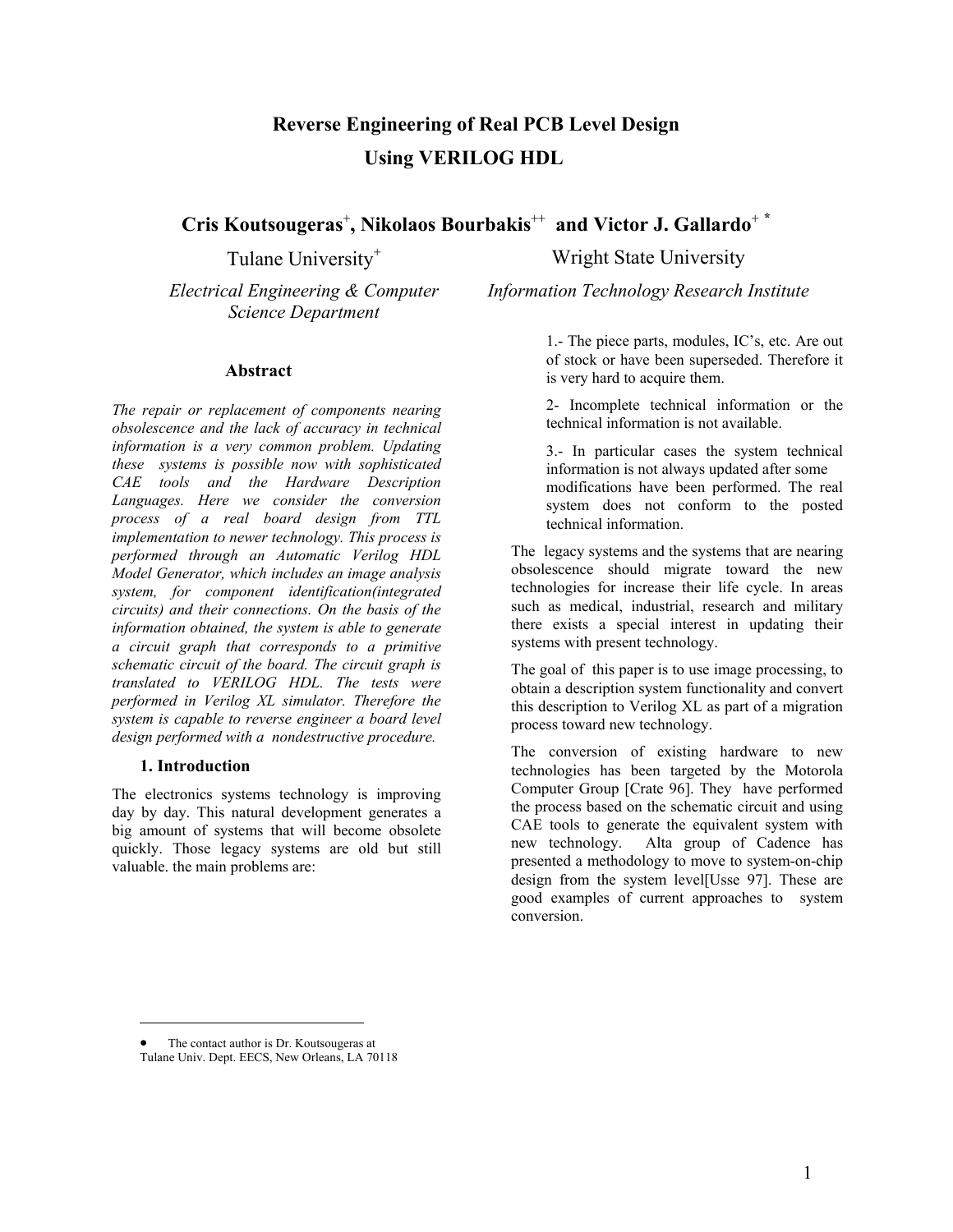# **Reverse Engineering of Real PCB Level Design Using VERILOG HDL**

**Cris Koutsougeras**<sup>+</sup> **, Nikolaos Bourbakis**++ **and Victor J. Gallardo**<sup>+</sup> **\***

*Electrical Engineering & Computer Science Department* 

#### **Abstract**

*The repair or replacement of components nearing obsolescence and the lack of accuracy in technical information is a very common problem. Updating these systems is possible now with sophisticated CAE tools and the Hardware Description Languages. Here we consider the conversion process of a real board design from TTL implementation to newer technology. This process is performed through an Automatic Verilog HDL Model Generator, which includes an image analysis system, for component identification(integrated circuits) and their connections. On the basis of the information obtained, the system is able to generate a circuit graph that corresponds to a primitive schematic circuit of the board. The circuit graph is translated to VERILOG HDL. The tests were performed in Verilog XL simulator. Therefore the system is capable to reverse engineer a board level design performed with a nondestructive procedure.* 

#### **1. Introduction**

1

The electronics systems technology is improving day by day. This natural development generates a big amount of systems that will become obsolete quickly. Those legacy systems are old but still valuable. the main problems are:

Tulane University<sup>+</sup> Wright State University

*Information Technology Research Institute* 

1.- The piece parts, modules, IC's, etc. Are out of stock or have been superseded. Therefore it is very hard to acquire them.

2- Incomplete technical information or the technical information is not available.

3.- In particular cases the system technical information is not always updated after some modifications have been performed. The real system does not conform to the posted technical information.

The legacy systems and the systems that are nearing obsolescence should migrate toward the new technologies for increase their life cycle. In areas such as medical, industrial, research and military there exists a special interest in updating their systems with present technology.

The goal of this paper is to use image processing, to obtain a description system functionality and convert this description to Verilog XL as part of a migration process toward new technology.

The conversion of existing hardware to new technologies has been targeted by the Motorola Computer Group [Crate 96]. They have performed the process based on the schematic circuit and using CAE tools to generate the equivalent system with new technology. Alta group of Cadence has presented a methodology to move to system-on-chip design from the system level[Usse 97]. These are good examples of current approaches to system conversion.

The contact author is Dr. Koutsougeras at Tulane Univ. Dept. EECS, New Orleans, LA 70118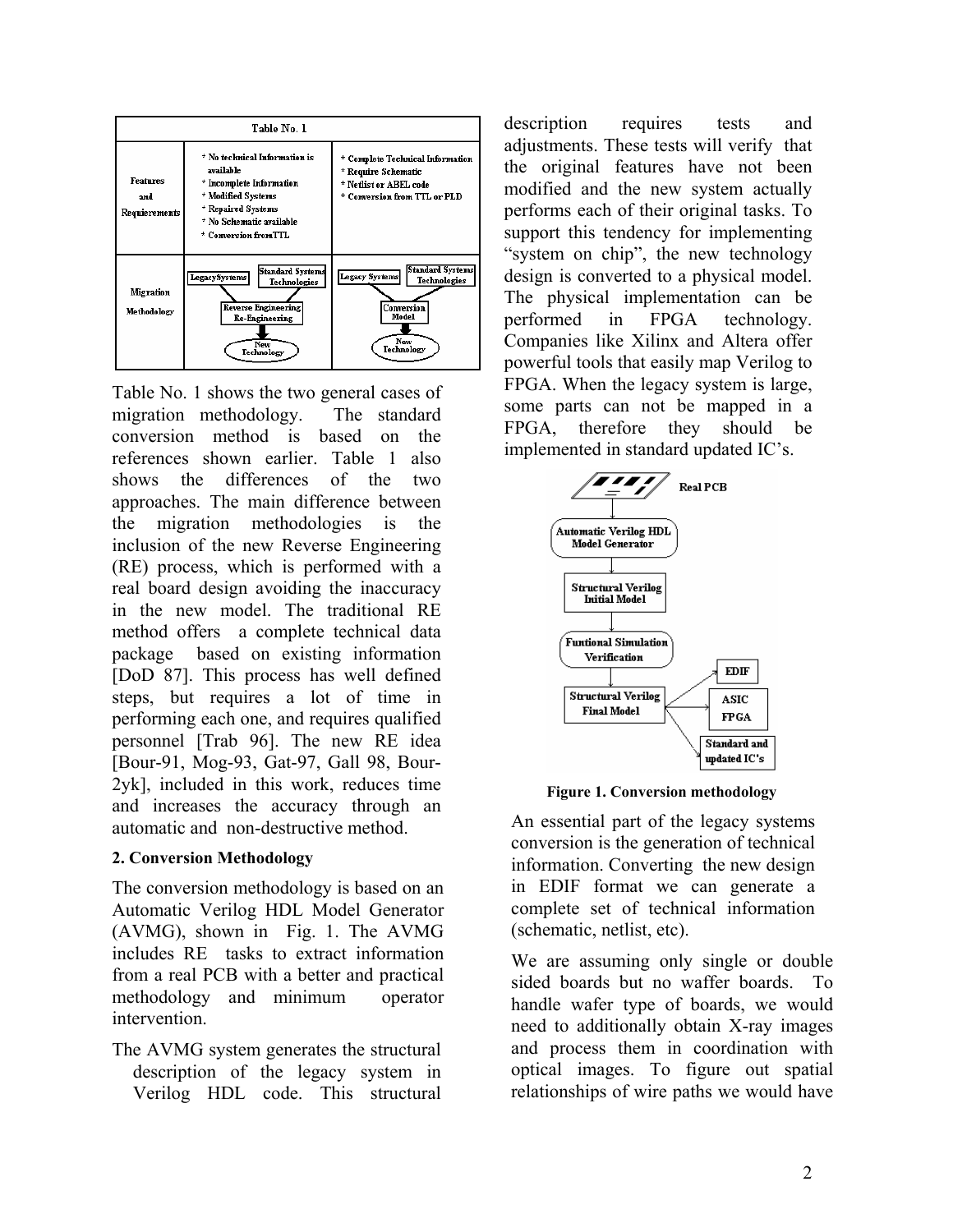

Table No. 1 shows the two general cases of migration methodology. The standard conversion method is based on the references shown earlier. Table 1 also shows the differences of the two approaches. The main difference between the migration methodologies is the inclusion of the new Reverse Engineering (RE) process, which is performed with a real board design avoiding the inaccuracy in the new model. The traditional RE method offers a complete technical data package based on existing information [DoD 87]. This process has well defined steps, but requires a lot of time in performing each one, and requires qualified personnel [Trab 96]. The new RE idea [Bour-91, Mog-93, Gat-97, Gall 98, Bour-2yk], included in this work, reduces time and increases the accuracy through an automatic and non-destructive method.

#### **2. Conversion Methodology**

The conversion methodology is based on an Automatic Verilog HDL Model Generator (AVMG), shown in Fig. 1. The AVMG includes RE tasks to extract information from a real PCB with a better and practical methodology and minimum operator intervention.

The AVMG system generates the structural description of the legacy system in Verilog HDL code. This structural

description requires tests and adjustments. These tests will verify that the original features have not been modified and the new system actually performs each of their original tasks. To support this tendency for implementing "system on chip", the new technology design is converted to a physical model. The physical implementation can be performed in FPGA technology. Companies like Xilinx and Altera offer powerful tools that easily map Verilog to FPGA. When the legacy system is large, some parts can not be mapped in a FPGA, therefore they should be implemented in standard updated IC's.



**Figure 1. Conversion methodology** 

An essential part of the legacy systems conversion is the generation of technical information. Converting the new design in EDIF format we can generate a complete set of technical information (schematic, netlist, etc).

We are assuming only single or double sided boards but no waffer boards. To handle wafer type of boards, we would need to additionally obtain X-ray images and process them in coordination with optical images. To figure out spatial relationships of wire paths we would have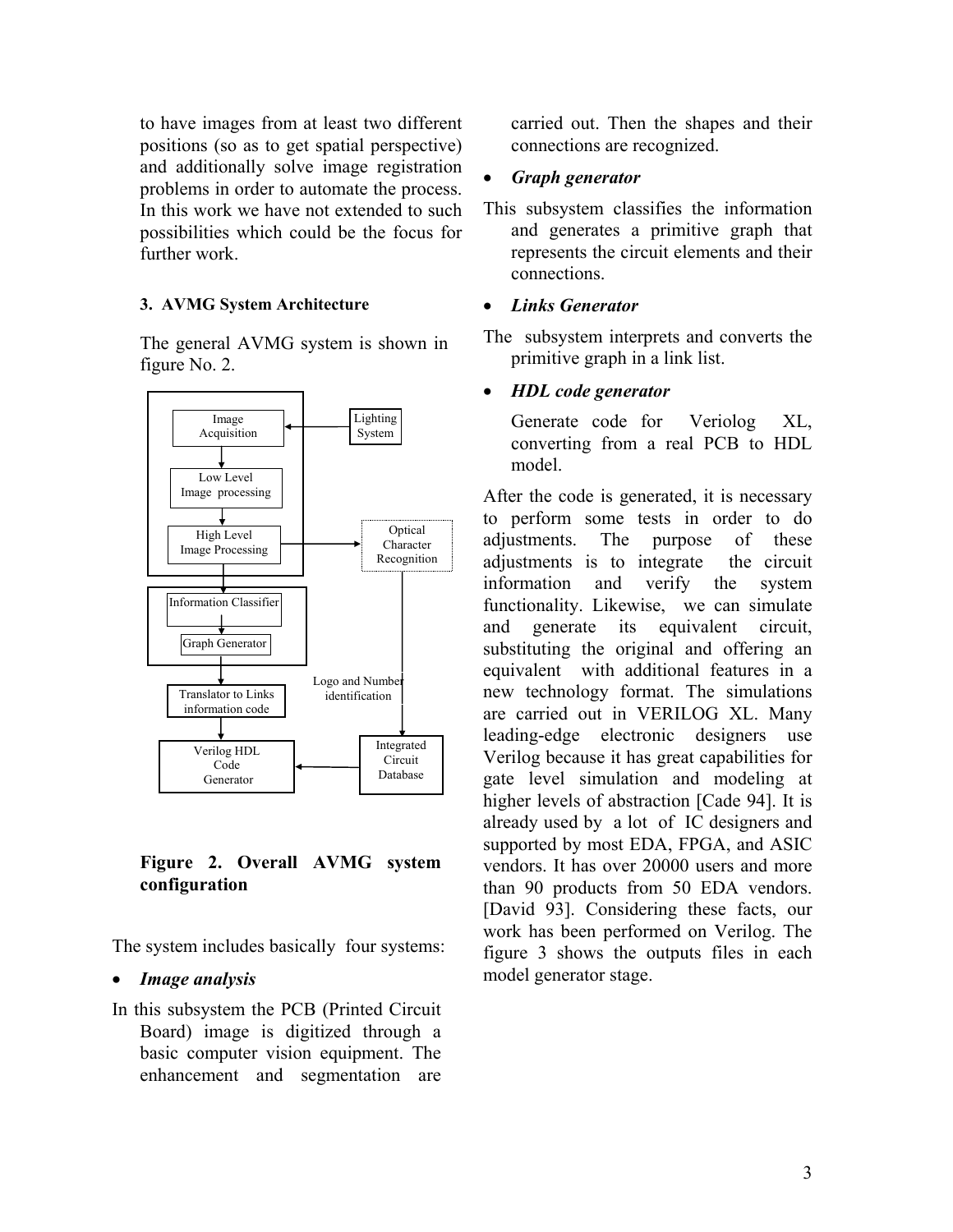to have images from at least two different positions (so as to get spatial perspective) and additionally solve image registration problems in order to automate the process. In this work we have not extended to such possibilities which could be the focus for further work.

#### **3. AVMG System Architecture**

The general AVMG system is shown in figure No. 2.



**Figure 2. Overall AVMG system configuration**

The system includes basically four systems:

#### • *Image analysis*

In this subsystem the PCB (Printed Circuit Board) image is digitized through a basic computer vision equipment. The enhancement and segmentation are

carried out. Then the shapes and their connections are recognized.

## • *Graph generator*

This subsystem classifies the information and generates a primitive graph that represents the circuit elements and their connections.

## • *Links Generator*

The subsystem interprets and converts the primitive graph in a link list.

## • *HDL code generator*

Generate code for Veriolog XL, converting from a real PCB to HDL model.

After the code is generated, it is necessary to perform some tests in order to do adjustments. The purpose of these adjustments is to integrate the circuit information and verify the system functionality. Likewise, we can simulate and generate its equivalent circuit, substituting the original and offering an equivalent with additional features in a new technology format. The simulations are carried out in VERILOG XL. Many leading-edge electronic designers use Verilog because it has great capabilities for gate level simulation and modeling at higher levels of abstraction [Cade 94]. It is already used by a lot of IC designers and supported by most EDA, FPGA, and ASIC vendors. It has over 20000 users and more than 90 products from 50 EDA vendors. [David 93]. Considering these facts, our work has been performed on Verilog. The figure 3 shows the outputs files in each model generator stage.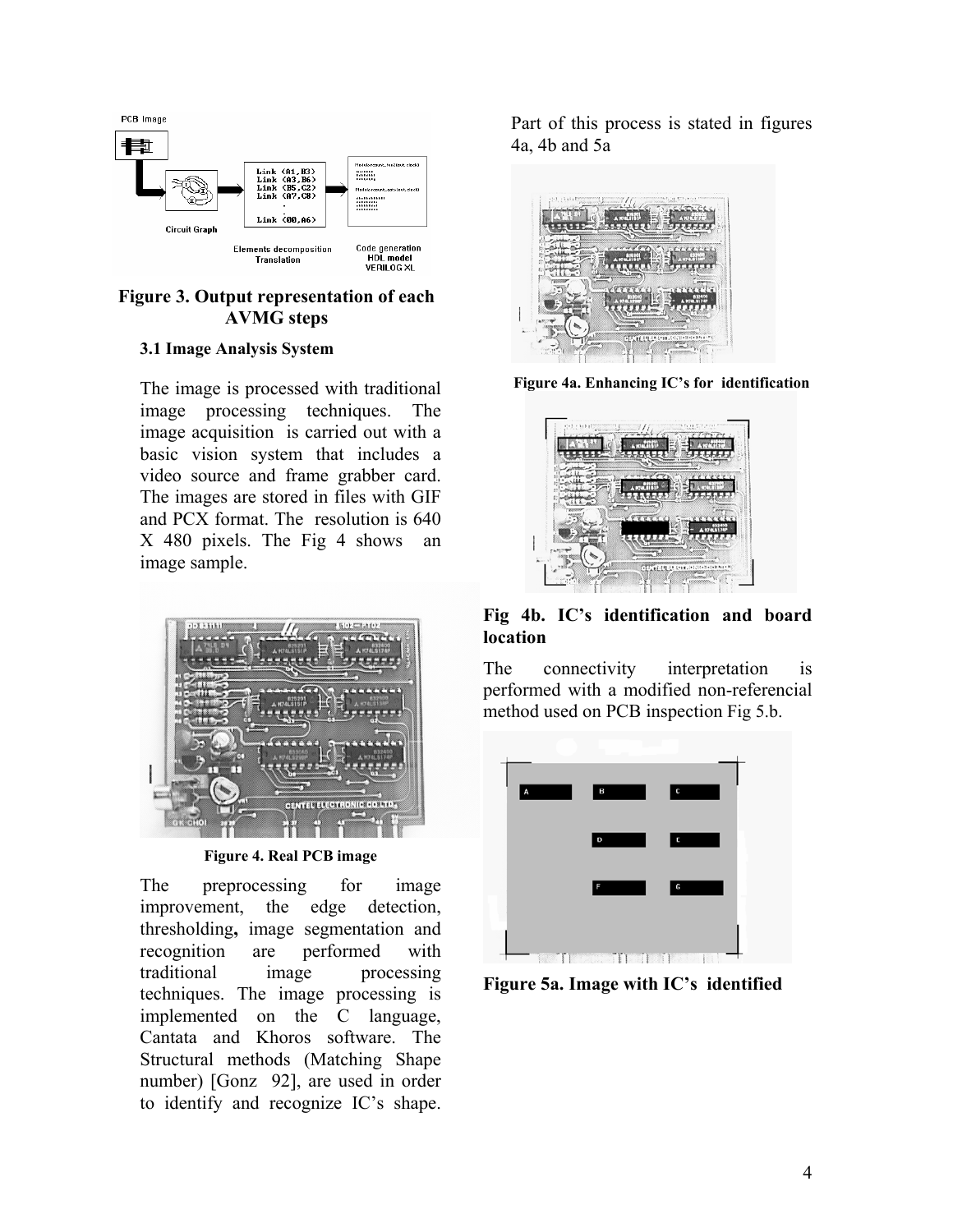

## **Figure 3. Output representation of each AVMG steps**

#### **3.1 Image Analysis System**

The image is processed with traditional image processing techniques. The image acquisition is carried out with a basic vision system that includes a video source and frame grabber card. The images are stored in files with GIF and PCX format. The resolution is 640 X 480 pixels. The Fig 4 shows an image sample.



**Figure 4. Real PCB image** 

The preprocessing for image improvement, the edge detection, thresholding**,** image segmentation and recognition are performed with traditional image processing techniques. The image processing is implemented on the C language, Cantata and Khoros software. The Structural methods (Matching Shape number) [Gonz 92], are used in order to identify and recognize IC's shape.

Part of this process is stated in figures 4a, 4b and 5a



**Figure 4a. Enhancing IC's for identification**



**Fig 4b. IC's identification and board location** 

The connectivity interpretation is performed with a modified non-referencial method used on PCB inspection Fig 5.b.



**Figure 5a. Image with IC's identified**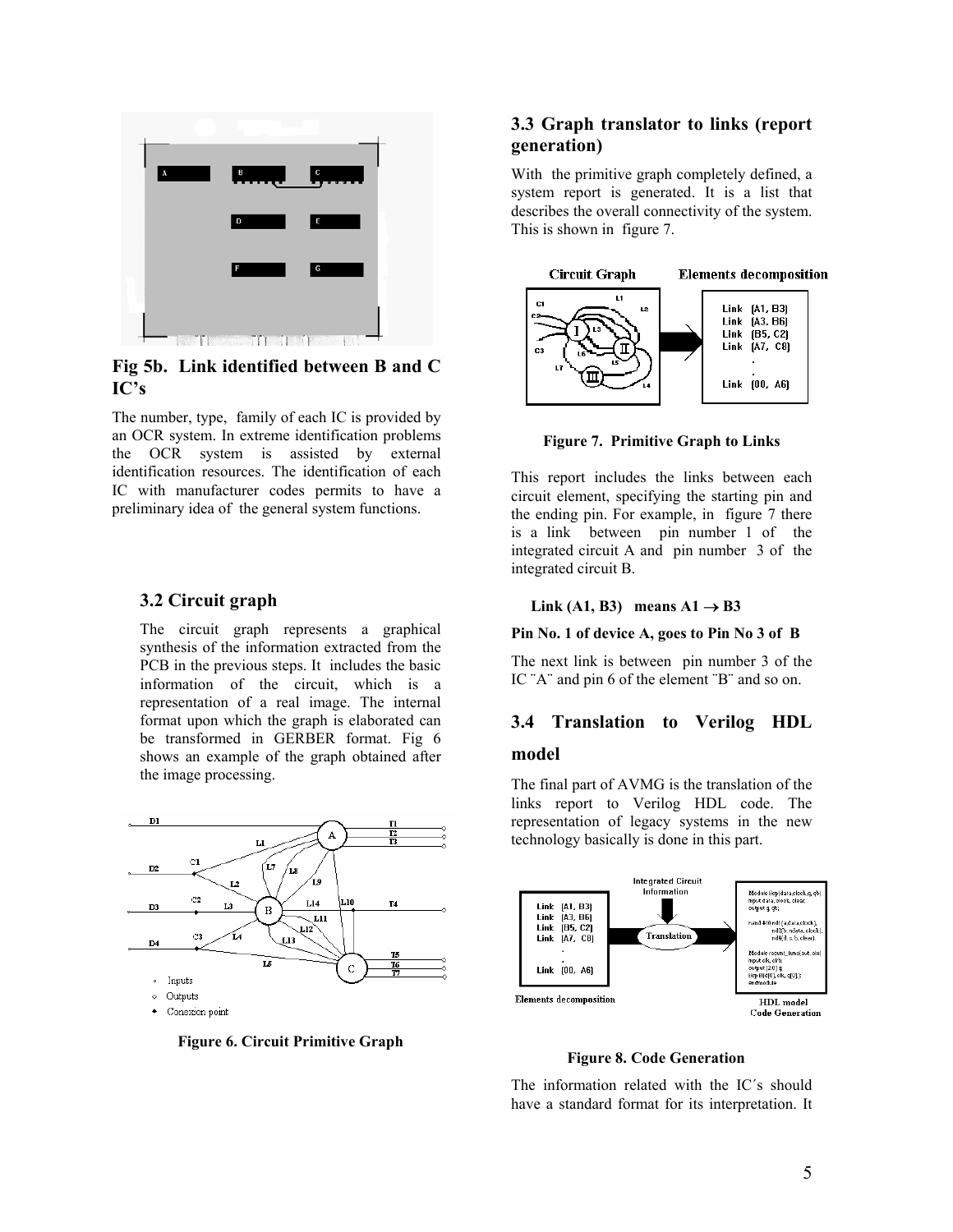

**Fig 5b. Link identified between B and C IC's** 

The number, type, family of each IC is provided by an OCR system. In extreme identification problems the OCR system is assisted by external identification resources. The identification of each IC with manufacturer codes permits to have a preliminary idea of the general system functions.

#### **3.2 Circuit graph**

The circuit graph represents a graphical synthesis of the information extracted from the PCB in the previous steps. It includes the basic information of the circuit, which is a representation of a real image. The internal format upon which the graph is elaborated can be transformed in GERBER format. Fig 6 shows an example of the graph obtained after the image processing.



**Figure 6. Circuit Primitive Graph**

#### **3.3 Graph translator to links (report generation)**

With the primitive graph completely defined, a system report is generated. It is a list that describes the overall connectivity of the system. This is shown in figure 7.



**Figure 7. Primitive Graph to Links**

This report includes the links between each circuit element, specifying the starting pin and the ending pin. For example, in figure 7 there is a link between pin number 1 of the integrated circuit A and pin number 3 of the integrated circuit B.

#### $Link (A1, B3)$  means  $A1 → B3$

#### **Pin No. 1 of device A, goes to Pin No 3 of B**

The next link is between pin number 3 of the IC "A" and pin 6 of the element "B" and so on.

# **3.4 Translation to Verilog HDL**

#### **model**

The final part of AVMG is the translation of the links report to Verilog HDL code. The representation of legacy systems in the new technology basically is done in this part.



**Figure 8. Code Generation**

The information related with the IC´s should have a standard format for its interpretation. It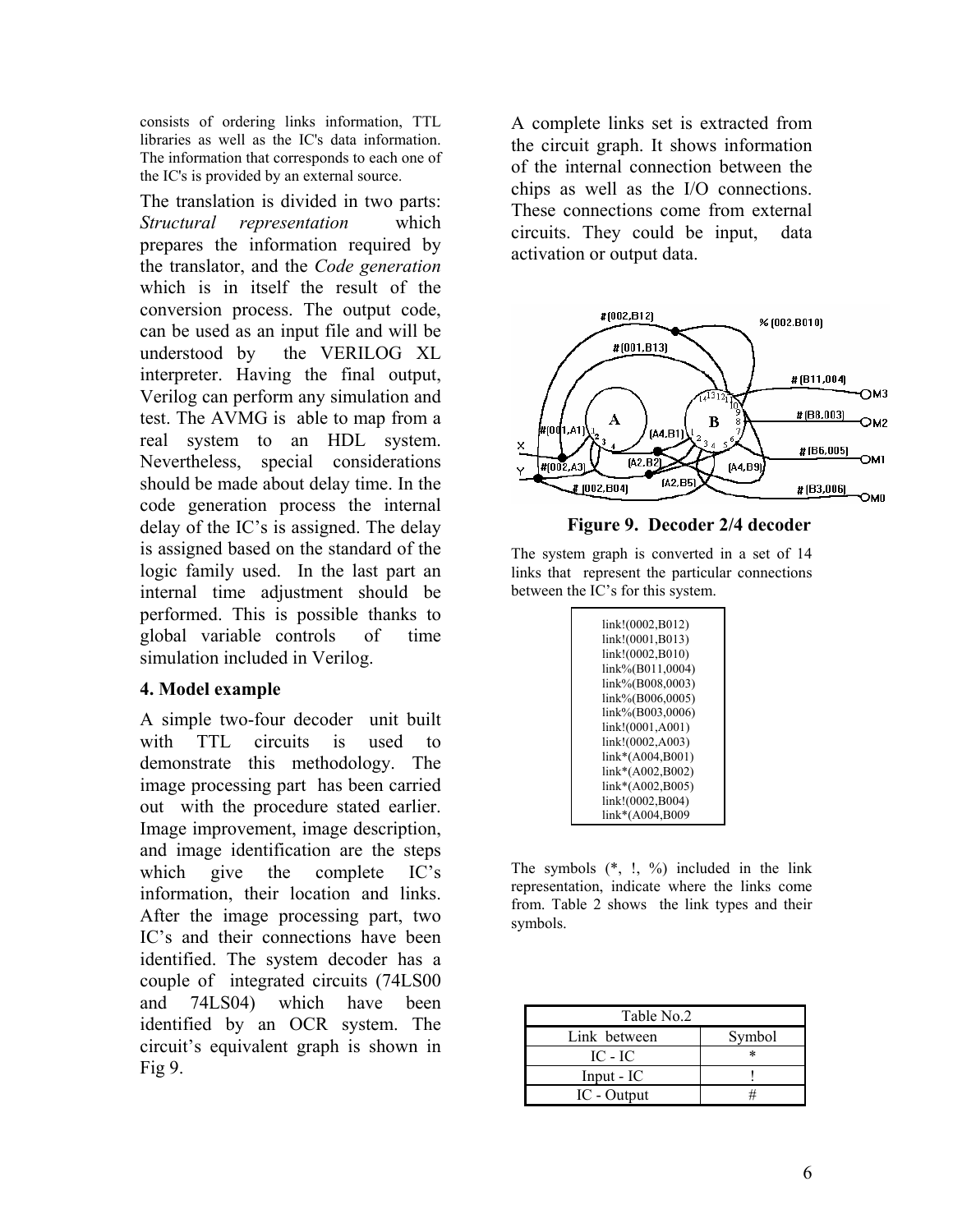consists of ordering links information, TTL libraries as well as the IC's data information. The information that corresponds to each one of the IC's is provided by an external source.

The translation is divided in two parts: *Structural representation* which prepares the information required by the translator, and the *Code generation* which is in itself the result of the conversion process. The output code, can be used as an input file and will be understood by the VERILOG XL interpreter. Having the final output, Verilog can perform any simulation and test. The AVMG is able to map from a real system to an HDL system. Nevertheless, special considerations should be made about delay time. In the code generation process the internal delay of the IC's is assigned. The delay is assigned based on the standard of the logic family used. In the last part an internal time adjustment should be performed. This is possible thanks to global variable controls of time simulation included in Verilog.

## **4. Model example**

A simple two-four decoder unit built with TTL circuits is used to demonstrate this methodology. The image processing part has been carried out with the procedure stated earlier. Image improvement, image description, and image identification are the steps which give the complete IC's information, their location and links. After the image processing part, two IC's and their connections have been identified. The system decoder has a couple of integrated circuits (74LS00 and 74LS04) which have been identified by an OCR system. The circuit's equivalent graph is shown in Fig 9.

A complete links set is extracted from the circuit graph. It shows information of the internal connection between the chips as well as the I/O connections. These connections come from external circuits. They could be input, data activation or output data.



## **Figure 9. Decoder 2/4 decoder**

The system graph is converted in a set of 14 links that represent the particular connections between the IC's for this system.

| link!(0002,B012) |
|------------------|
| link!(0001,B013) |
| link!(0002,B010) |
| link%(B011,0004) |
| link%(B008,0003) |
| link%(B006,0005) |
| link%(B003,0006) |
| link!(0001,A001) |
| link!(0002,A003) |
| link*(A004,B001) |
| link*(A002,B002) |
| link*(A002,B005) |
| link!(0002,B004) |
| link*(A004,B009  |

The symbols  $(*, ', %)$  included in the link representation, indicate where the links come from. Table 2 shows the link types and their symbols.

| Table No.2   |        |
|--------------|--------|
| Link between | Symbol |
| IC - IC      | $\ast$ |
| $Input - IC$ |        |
| IC - Output  |        |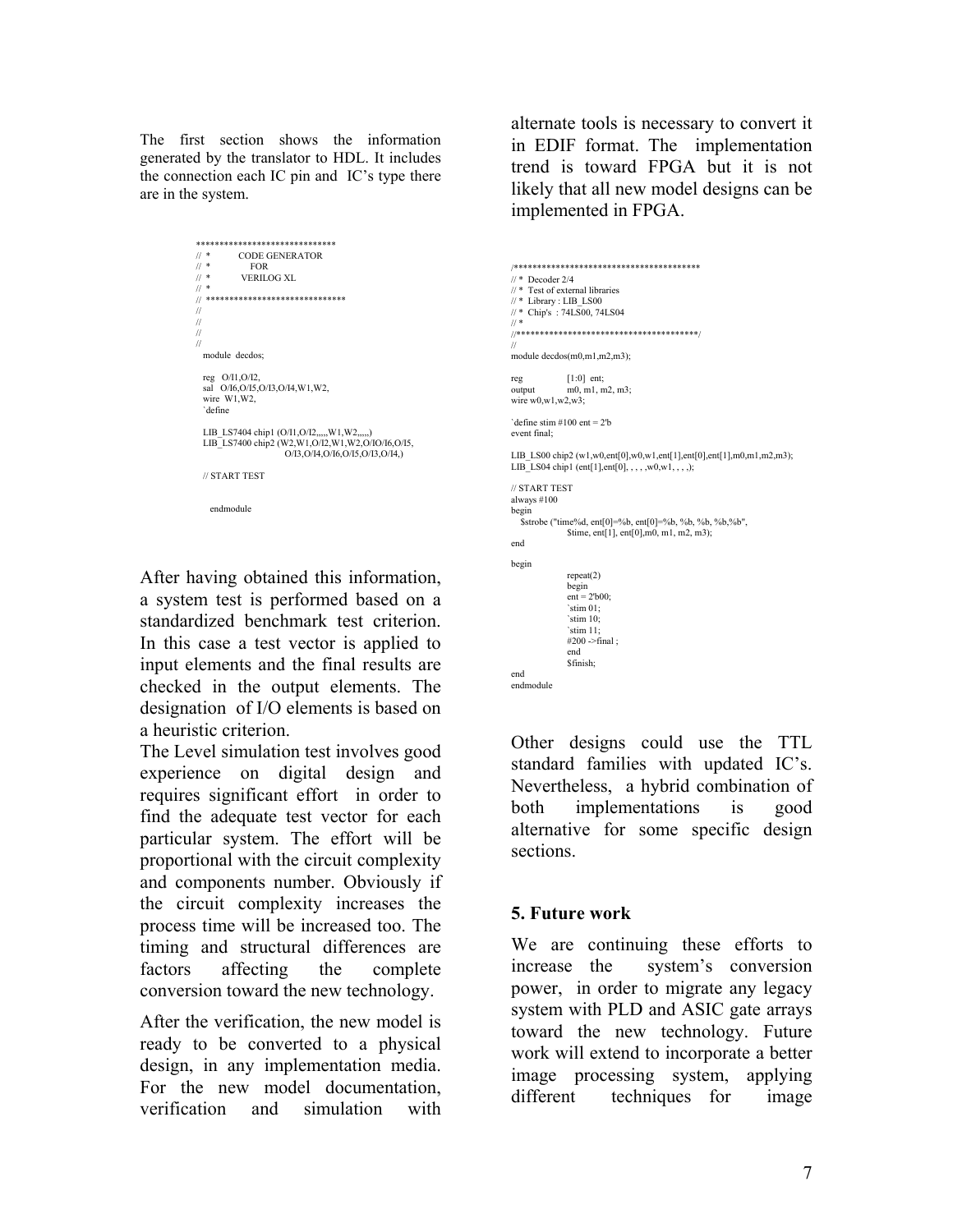The first section shows the information generated by the translator to HDL. It includes the connection each IC pin and IC's type there are in the system.

```
****************************** 
\frac{1}{2} \frac{1}{2} \frac{1}{2} \frac{1}{2} \frac{1}{2} \frac{1}{2} \frac{1}{2} \frac{1}{2} \frac{1}{2} \frac{1}{2} \frac{1}{2} \frac{1}{2} \frac{1}{2} \frac{1}{2} \frac{1}{2} \frac{1}{2} \frac{1}{2} \frac{1}{2} \frac{1}{2} \frac{1}{2} \frac{1}{2} \frac{1}{2} FORVERILOG XL
/ *
..<br>// *******************************
 // 
 // 
 // 
 // 
    module decdos; 
  reg O/I1,O/I2, 
 sal O/I6,O/I5,O/I3,O/I4,W1,W2, 
   wire W1, W2,
    `define 
   LIB_LS7404 chip1 (O/I1,O/I2,,,,,W1,W2,,,,,)
    LIB_LS7400 chip2 (W2,W1,O/I2,W1,W2,O/IO/I6,O/I5, 
                                      O/I3,O/I4,O/I6,O/I5,O/I3,O/I4,) 
   // START TEST
```
endmodule

After having obtained this information, a system test is performed based on a standardized benchmark test criterion. In this case a test vector is applied to input elements and the final results are checked in the output elements. The designation of I/O elements is based on a heuristic criterion.

The Level simulation test involves good experience on digital design and requires significant effort in order to find the adequate test vector for each particular system. The effort will be proportional with the circuit complexity and components number. Obviously if the circuit complexity increases the process time will be increased too. The timing and structural differences are factors affecting the complete conversion toward the new technology.

After the verification, the new model is ready to be converted to a physical design, in any implementation media. For the new model documentation, verification and simulation with alternate tools is necessary to convert it in EDIF format. The implementation trend is toward FPGA but it is not likely that all new model designs can be implemented in FPGA.

```
/**************************************** 
\frac{1}{4} Decoder 2/4
// * Test of external libraries 
\textit{//} * Library : LIB_LS00
// * Chip's : 74LS00, 74LS04 
// * 
//***************************************/ 
// 
module decdos(m0,m1,m2,m3); 
reg [1:0] ent;<br>output m0, m1, n
               m0, m1, m2, m3;
wire w0, w1, w2, w3.
`define stim #100 ent = 2'b 
event final; 
LIB_LS00 chip2 (w1,w0,ent[0],w0,w1,ent[1],ent[0],ent[1],m0,m1,m2,m3); 
LIB_LS04 chip1 (ent[1],ent[0], , , , , w0,w1, , , ,);
// START TEST 
always #100 
begin 
   $strobe ("time%d, ent[0]=%b, ent[0]=%b, %b, %b, %b,%b", 
                $time, ent[1], ent[0],m0, m1, m2, m3); 
end 
begin 
                repeat(2) 
                begin 
               ent = 2' b00; `stim 01; 
                 `stim 10; 
                 `stim 11; 
               #200 ->final ;
                end 
                $finish; 
end 
endmodule
```
Other designs could use the TTL standard families with updated IC's. Nevertheless, a hybrid combination of both implementations is good alternative for some specific design sections.

## **5. Future work**

We are continuing these efforts to increase the system's conversion power, in order to migrate any legacy system with PLD and ASIC gate arrays toward the new technology. Future work will extend to incorporate a better image processing system, applying different techniques for image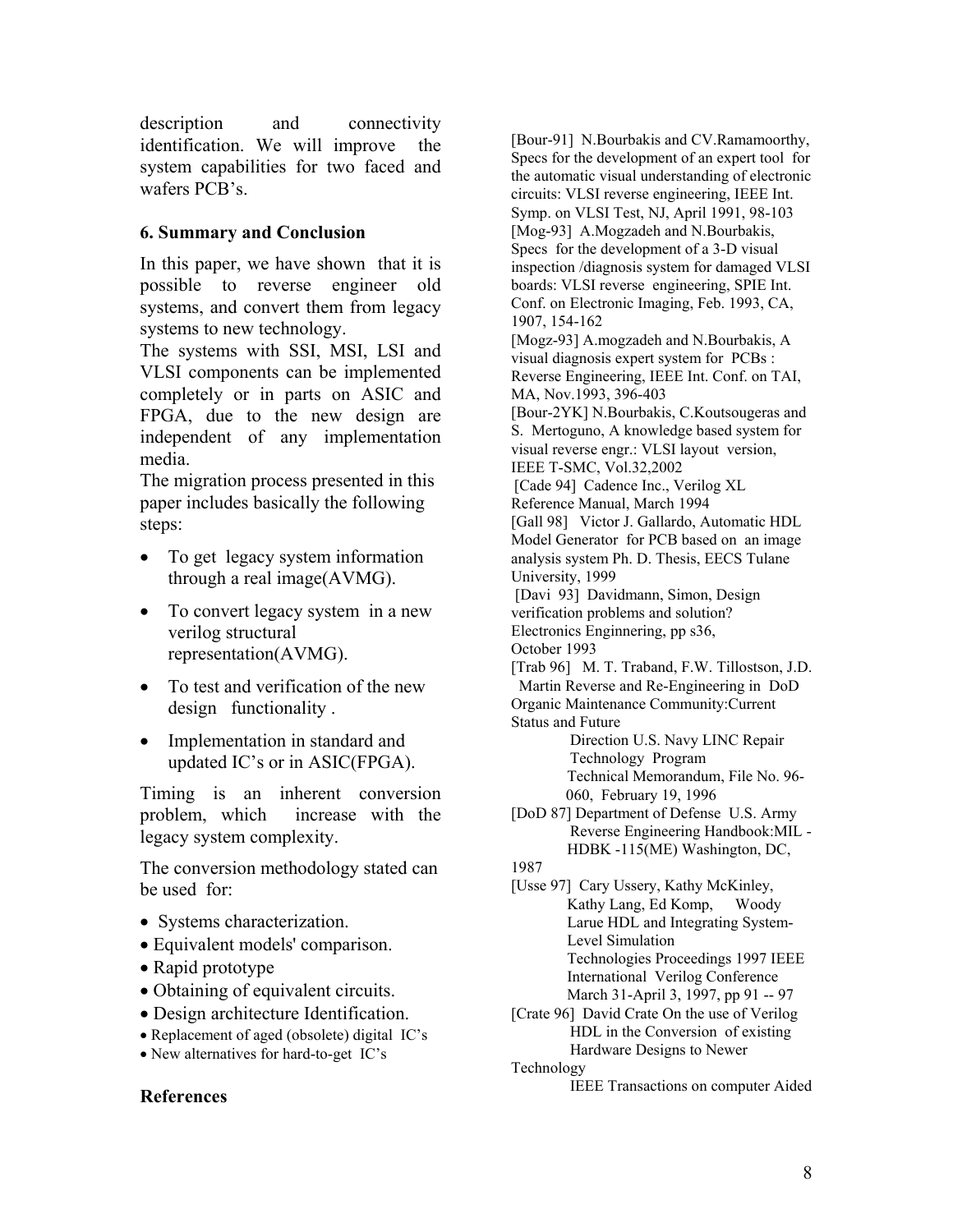description and connectivity identification. We will improve the system capabilities for two faced and wafers PCB's.

# **6. Summary and Conclusion**

In this paper, we have shown that it is possible to reverse engineer old systems, and convert them from legacy systems to new technology.

The systems with SSI, MSI, LSI and VLSI components can be implemented completely or in parts on ASIC and FPGA, due to the new design are independent of any implementation media.

The migration process presented in this paper includes basically the following steps:

- To get legacy system information through a real image(AVMG).
- To convert legacy system in a new verilog structural representation(AVMG).
- To test and verification of the new design functionality .
- Implementation in standard and updated IC's or in ASIC(FPGA).

Timing is an inherent conversion problem, which increase with the legacy system complexity.

The conversion methodology stated can be used for:

- Systems characterization.
- Equivalent models' comparison.
- Rapid prototype
- Obtaining of equivalent circuits.
- Design architecture Identification.
- Replacement of aged (obsolete) digital IC's
- New alternatives for hard-to-get IC's

## **References**

[Bour-91] N.Bourbakis and CV.Ramamoorthy, Specs for the development of an expert tool for the automatic visual understanding of electronic circuits: VLSI reverse engineering, IEEE Int. Symp. on VLSI Test, NJ, April 1991, 98-103 [Mog-93] A.Mogzadeh and N.Bourbakis, Specs for the development of a 3-D visual inspection /diagnosis system for damaged VLSI boards: VLSI reverse engineering, SPIE Int. Conf. on Electronic Imaging, Feb. 1993, CA, 1907, 154-162 [Mogz-93] A.mogzadeh and N.Bourbakis, A visual diagnosis expert system for PCBs : Reverse Engineering, IEEE Int. Conf. on TAI, MA, Nov.1993, 396-403 [Bour-2YK] N.Bourbakis, C.Koutsougeras and S. Mertoguno, A knowledge based system for visual reverse engr.: VLSI layout version, IEEE T-SMC, Vol.32,2002 [Cade 94] Cadence Inc., Verilog XL Reference Manual, March 1994 [Gall 98] Victor J. Gallardo, Automatic HDL Model Generator for PCB based on an image analysis system Ph. D. Thesis, EECS Tulane University, 1999 [Davi 93] Davidmann, Simon, Design verification problems and solution? Electronics Enginnering, pp s36, October 1993 [Trab 96] M. T. Traband, F.W. Tillostson, J.D. Martin Reverse and Re-Engineering in DoD Organic Maintenance Community:Current Status and Future Direction U.S. Navy LINC Repair Technology Program Technical Memorandum, File No. 96- 060, February 19, 1996 [DoD 87] Department of Defense U.S. Army Reverse Engineering Handbook:MIL - HDBK -115(ME) Washington, DC, 1987 [Usse 97] Cary Ussery, Kathy McKinley, Kathy Lang, Ed Komp, Woody Larue HDL and Integrating System-Level Simulation Technologies Proceedings 1997 IEEE International Verilog Conference March 31-April 3, 1997, pp 91 -- 97 [Crate 96] David Crate On the use of Verilog HDL in the Conversion of existing Hardware Designs to Newer Technology IEEE Transactions on computer Aided